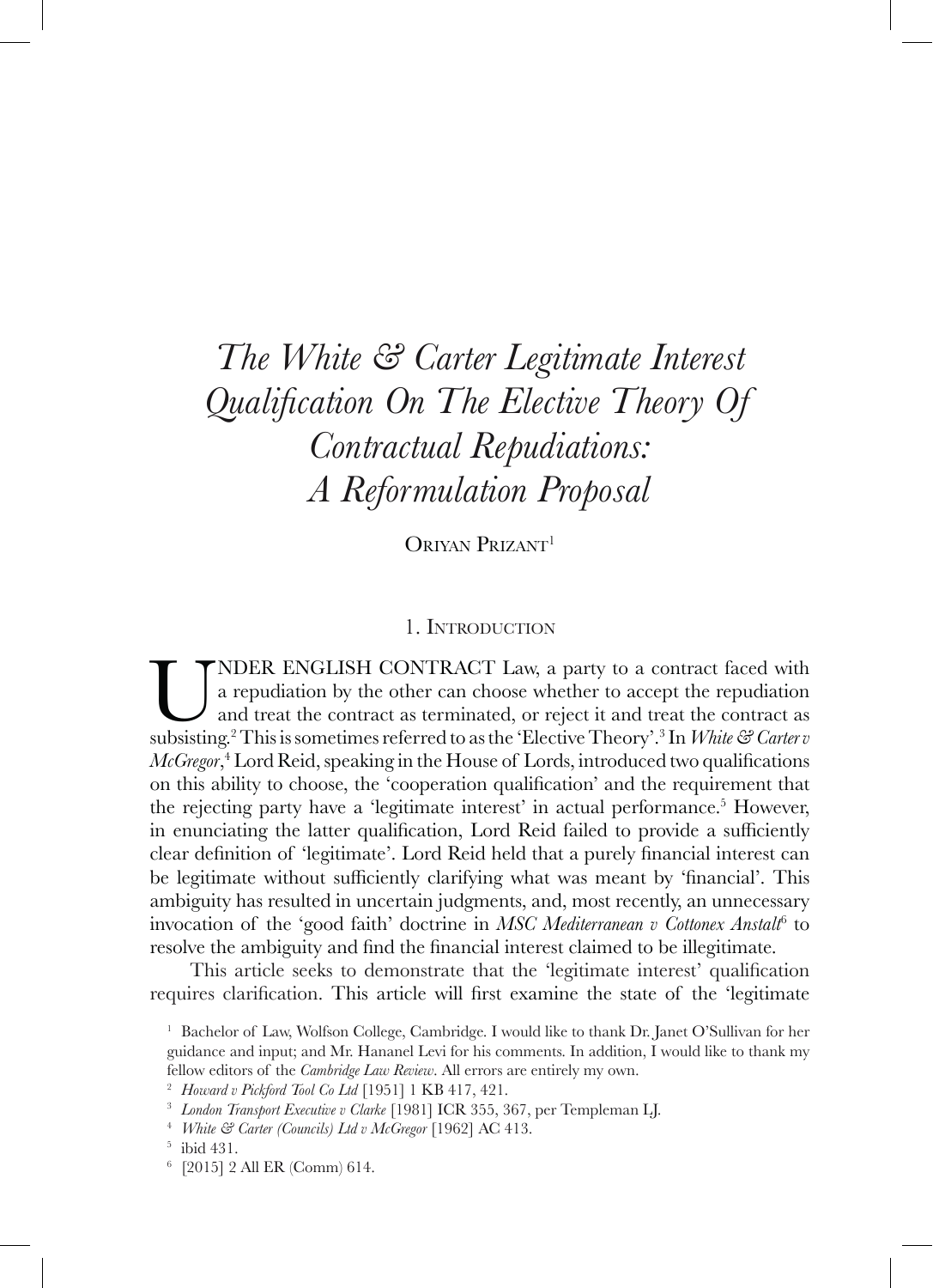# *The White & Carter Legitimate Interest Qualification On The Elective Theory Of Contractual Repudiations: A Reformulation Proposal*

ORIYAN PRIZANT<sup>1</sup>

### 1. Introduction

**UNDER ENGLISH CONTRACT Law, a party to a contract faced with a repudiation by the other can choose whether to accept the repudiation and treat the contract as subsisting.<sup>2</sup> This is sometimes referred to as the 'Elective** a repudiation by the other can choose whether to accept the repudiation and treat the contract as terminated, or reject it and treat the contract as *McGregor*, 4 Lord Reid, speaking in the House of Lords, introduced two qualifications on this ability to choose, the 'cooperation qualification' and the requirement that the rejecting party have a 'legitimate interest' in actual performance.<sup>5</sup> However, in enunciating the latter qualification, Lord Reid failed to provide a sufficiently clear definition of 'legitimate'. Lord Reid held that a purely financial interest can be legitimate without sufficiently clarifying what was meant by 'financial'. This ambiguity has resulted in uncertain judgments, and, most recently, an unnecessary invocation of the 'good faith' doctrine in *MSC Mediterranean v Cottonex Anstalt*<sup>6</sup> to resolve the ambiguity and find the financial interest claimed to be illegitimate.

This article seeks to demonstrate that the 'legitimate interest' qualification requires clarification. This article will first examine the state of the 'legitimate

<sup>&</sup>lt;sup>1</sup> Bachelor of Law, Wolfson College, Cambridge. I would like to thank Dr. Janet O'Sullivan for her guidance and input; and Mr. Hananel Levi for his comments. In addition, I would like to thank my fellow editors of the *Cambridge Law Review*. All errors are entirely my own.

<sup>2</sup> *Howard v Pickford Tool Co Ltd* [1951] 1 KB 417, 421.

<sup>3</sup> *London Transport Executive v Clarke* [1981] ICR 355, 367, per Templeman LJ.

<sup>4</sup> *White & Carter (Councils) Ltd v McGregor* [1962] AC 413.

<sup>5</sup> ibid 431.

<sup>6</sup> [2015] 2 All ER (Comm) 614.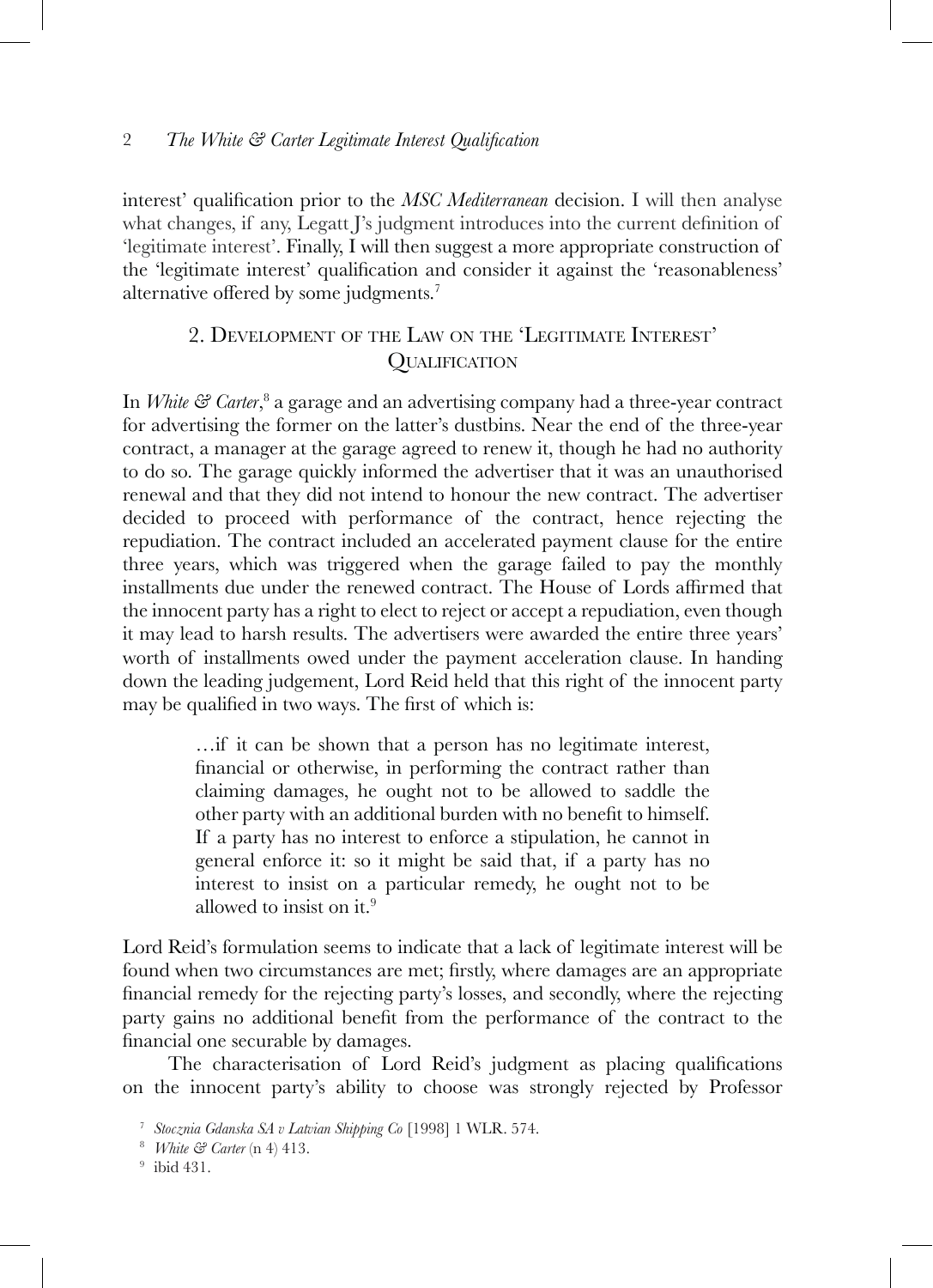interest' qualification prior to the *MSC Mediterranean* decision. I will then analyse what changes, if any, Legatt J's judgment introduces into the current definition of 'legitimate interest'. Finally, I will then suggest a more appropriate construction of the 'legitimate interest' qualification and consider it against the 'reasonableness' alternative offered by some judgments.<sup>7</sup>

# 2. Development of the Law on the 'Legitimate Interest' **OUALIFICATION**

In *White & Carter*, <sup>8</sup> a garage and an advertising company had a three-year contract for advertising the former on the latter's dustbins. Near the end of the three-year contract, a manager at the garage agreed to renew it, though he had no authority to do so. The garage quickly informed the advertiser that it was an unauthorised renewal and that they did not intend to honour the new contract. The advertiser decided to proceed with performance of the contract, hence rejecting the repudiation. The contract included an accelerated payment clause for the entire three years, which was triggered when the garage failed to pay the monthly installments due under the renewed contract. The House of Lords affirmed that the innocent party has a right to elect to reject or accept a repudiation, even though it may lead to harsh results. The advertisers were awarded the entire three years' worth of installments owed under the payment acceleration clause. In handing down the leading judgement, Lord Reid held that this right of the innocent party may be qualified in two ways. The first of which is:

> …if it can be shown that a person has no legitimate interest, financial or otherwise, in performing the contract rather than claiming damages, he ought not to be allowed to saddle the other party with an additional burden with no benefit to himself. If a party has no interest to enforce a stipulation, he cannot in general enforce it: so it might be said that, if a party has no interest to insist on a particular remedy, he ought not to be allowed to insist on it.9

Lord Reid's formulation seems to indicate that a lack of legitimate interest will be found when two circumstances are met; firstly, where damages are an appropriate financial remedy for the rejecting party's losses, and secondly, where the rejecting party gains no additional benefit from the performance of the contract to the financial one securable by damages.

The characterisation of Lord Reid's judgment as placing qualifications on the innocent party's ability to choose was strongly rejected by Professor

<sup>7</sup> *Stocznia Gdanska SA v Latvian Shipping Co* [1998] 1 WLR. 574.

<sup>8</sup> *White & Carter* (n 4) 413.

<sup>9</sup> ibid 431.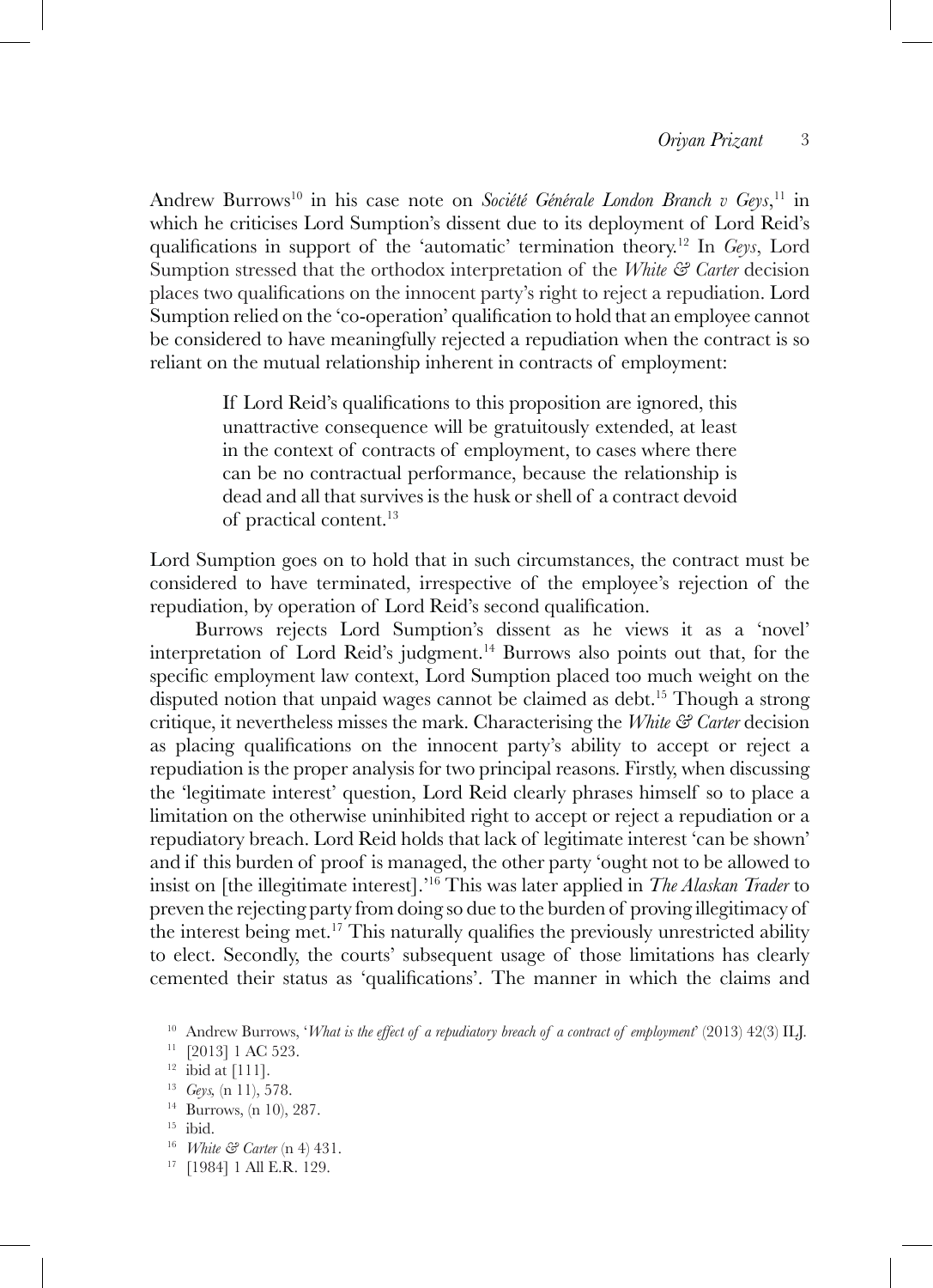Andrew Burrows<sup>10</sup> in his case note on *Société Générale London Branch v Geys*,<sup>11</sup> in which he criticises Lord Sumption's dissent due to its deployment of Lord Reid's qualifications in support of the 'automatic' termination theory.<sup>12</sup> In *Geys*, Lord Sumption stressed that the orthodox interpretation of the *White & Carter* decision places two qualifications on the innocent party's right to reject a repudiation. Lord Sumption relied on the 'co-operation' qualification to hold that an employee cannot be considered to have meaningfully rejected a repudiation when the contract is so reliant on the mutual relationship inherent in contracts of employment:

> If Lord Reid's qualifications to this proposition are ignored, this unattractive consequence will be gratuitously extended, at least in the context of contracts of employment, to cases where there can be no contractual performance, because the relationship is dead and all that survives is the husk or shell of a contract devoid of practical content.13

Lord Sumption goes on to hold that in such circumstances, the contract must be considered to have terminated, irrespective of the employee's rejection of the repudiation, by operation of Lord Reid's second qualification.

Burrows rejects Lord Sumption's dissent as he views it as a 'novel' interpretation of Lord Reid's judgment.<sup>14</sup> Burrows also points out that, for the specific employment law context, Lord Sumption placed too much weight on the disputed notion that unpaid wages cannot be claimed as debt.<sup>15</sup> Though a strong critique, it nevertheless misses the mark. Characterising the *White & Carter* decision as placing qualifications on the innocent party's ability to accept or reject a repudiation is the proper analysis for two principal reasons. Firstly, when discussing the 'legitimate interest' question, Lord Reid clearly phrases himself so to place a limitation on the otherwise uninhibited right to accept or reject a repudiation or a repudiatory breach. Lord Reid holds that lack of legitimate interest 'can be shown' and if this burden of proof is managed, the other party 'ought not to be allowed to insist on [the illegitimate interest].'16 This was later applied in *The Alaskan Trader* to preven the rejecting party from doing so due to the burden of proving illegitimacy of the interest being met.17 This naturally qualifies the previously unrestricted ability to elect. Secondly, the courts' subsequent usage of those limitations has clearly cemented their status as 'qualifications'. The manner in which the claims and

<sup>16</sup> *White & Carter* (n 4) 431.

<sup>10</sup> Andrew Burrows, '*What is the effect of a repudiatory breach of a contract of employment*' (2013) 42(3) ILJ.

<sup>&</sup>lt;sup>11</sup> [2013] 1 AC 523.

 $12$  ibid at [111].

<sup>13</sup> *Geys,* (n 11), 578.

<sup>14</sup> Burrows, (n 10), 287.

 $15$  ibid.

<sup>17</sup> [1984] 1 All E.R. 129.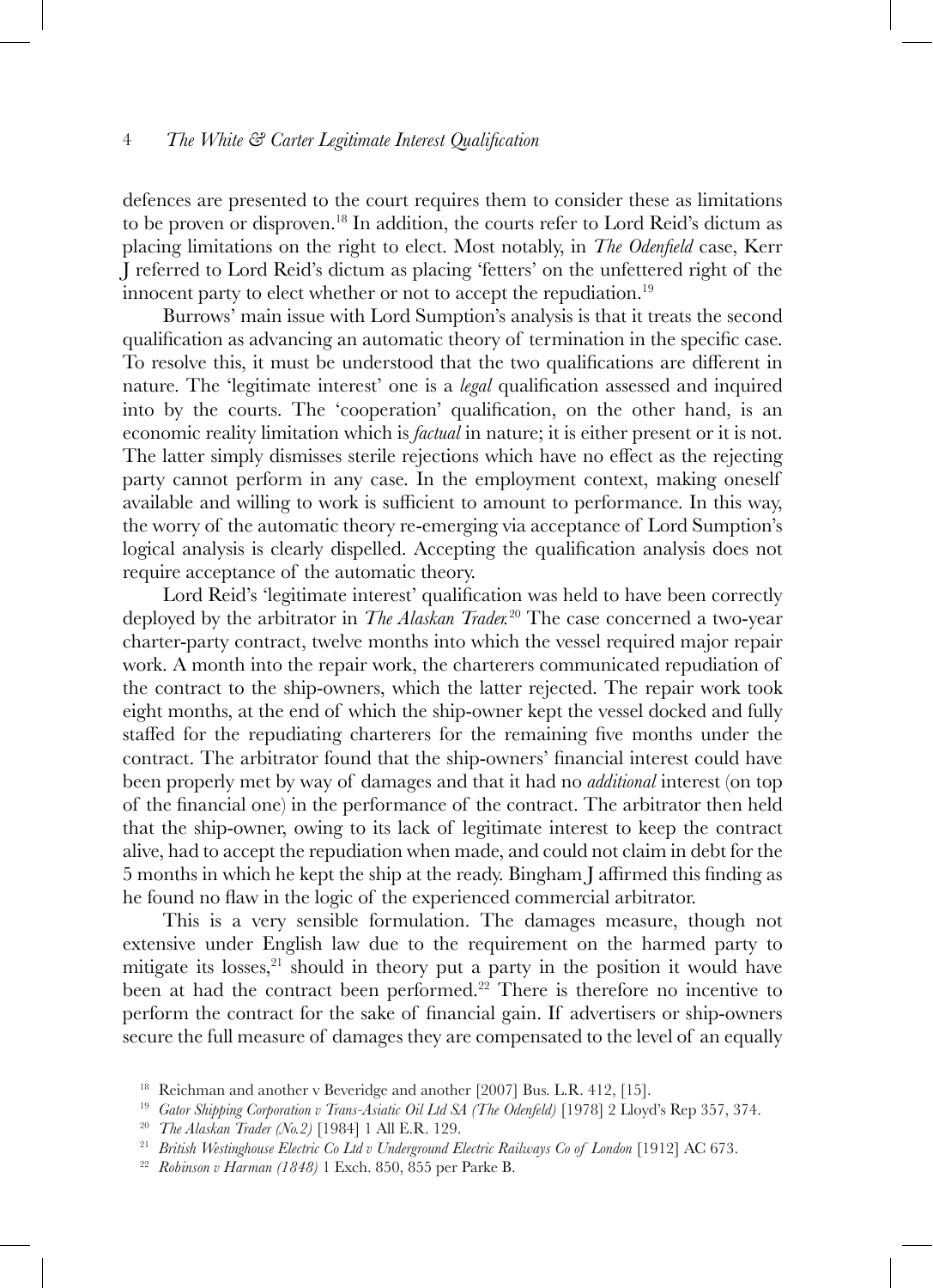defences are presented to the court requires them to consider these as limitations to be proven or disproven.18 In addition, the courts refer to Lord Reid's dictum as placing limitations on the right to elect. Most notably, in *The Odenfield* case, Kerr J referred to Lord Reid's dictum as placing 'fetters' on the unfettered right of the innocent party to elect whether or not to accept the repudiation.<sup>19</sup>

Burrows' main issue with Lord Sumption's analysis is that it treats the second qualification as advancing an automatic theory of termination in the specific case. To resolve this, it must be understood that the two qualifications are different in nature. The 'legitimate interest' one is a *legal* qualification assessed and inquired into by the courts. The 'cooperation' qualification, on the other hand, is an economic reality limitation which is *factual* in nature; it is either present or it is not. The latter simply dismisses sterile rejections which have no effect as the rejecting party cannot perform in any case. In the employment context, making oneself available and willing to work is sufficient to amount to performance. In this way, the worry of the automatic theory re-emerging via acceptance of Lord Sumption's logical analysis is clearly dispelled. Accepting the qualification analysis does not require acceptance of the automatic theory.

Lord Reid's 'legitimate interest' qualification was held to have been correctly deployed by the arbitrator in *The Alaskan Trader.*20 The case concerned a two-year charter-party contract, twelve months into which the vessel required major repair work. A month into the repair work, the charterers communicated repudiation of the contract to the ship-owners, which the latter rejected. The repair work took eight months, at the end of which the ship-owner kept the vessel docked and fully staffed for the repudiating charterers for the remaining five months under the contract. The arbitrator found that the ship-owners' financial interest could have been properly met by way of damages and that it had no *additional* interest (on top of the financial one) in the performance of the contract. The arbitrator then held that the ship-owner, owing to its lack of legitimate interest to keep the contract alive, had to accept the repudiation when made, and could not claim in debt for the 5 months in which he kept the ship at the ready. Bingham J affirmed this finding as he found no flaw in the logic of the experienced commercial arbitrator.

This is a very sensible formulation. The damages measure, though not extensive under English law due to the requirement on the harmed party to mitigate its losses, $21$  should in theory put a party in the position it would have been at had the contract been performed.<sup>22</sup> There is therefore no incentive to perform the contract for the sake of financial gain. If advertisers or ship-owners secure the full measure of damages they are compensated to the level of an equally

<sup>&</sup>lt;sup>18</sup> Reichman and another v Beveridge and another [2007] Bus. L.R. 412, [15].

<sup>&</sup>lt;sup>19</sup> *Gator Shipping Corporation v Trans-Asiatic Oil Ltd SA (The Odenfeld)* [1978] 2 Lloyd's Rep 357, 374.

<sup>20</sup> *The Alaskan Trader (No.2)* [1984] 1 All E.R. 129.

<sup>&</sup>lt;sup>21</sup> *British Westinghouse Electric Co Ltd v Underground Electric Railways Co of London* [1912] AC 673.

<sup>22</sup> *Robinson v Harman (1848)* 1 Exch. 850, 855 per Parke B.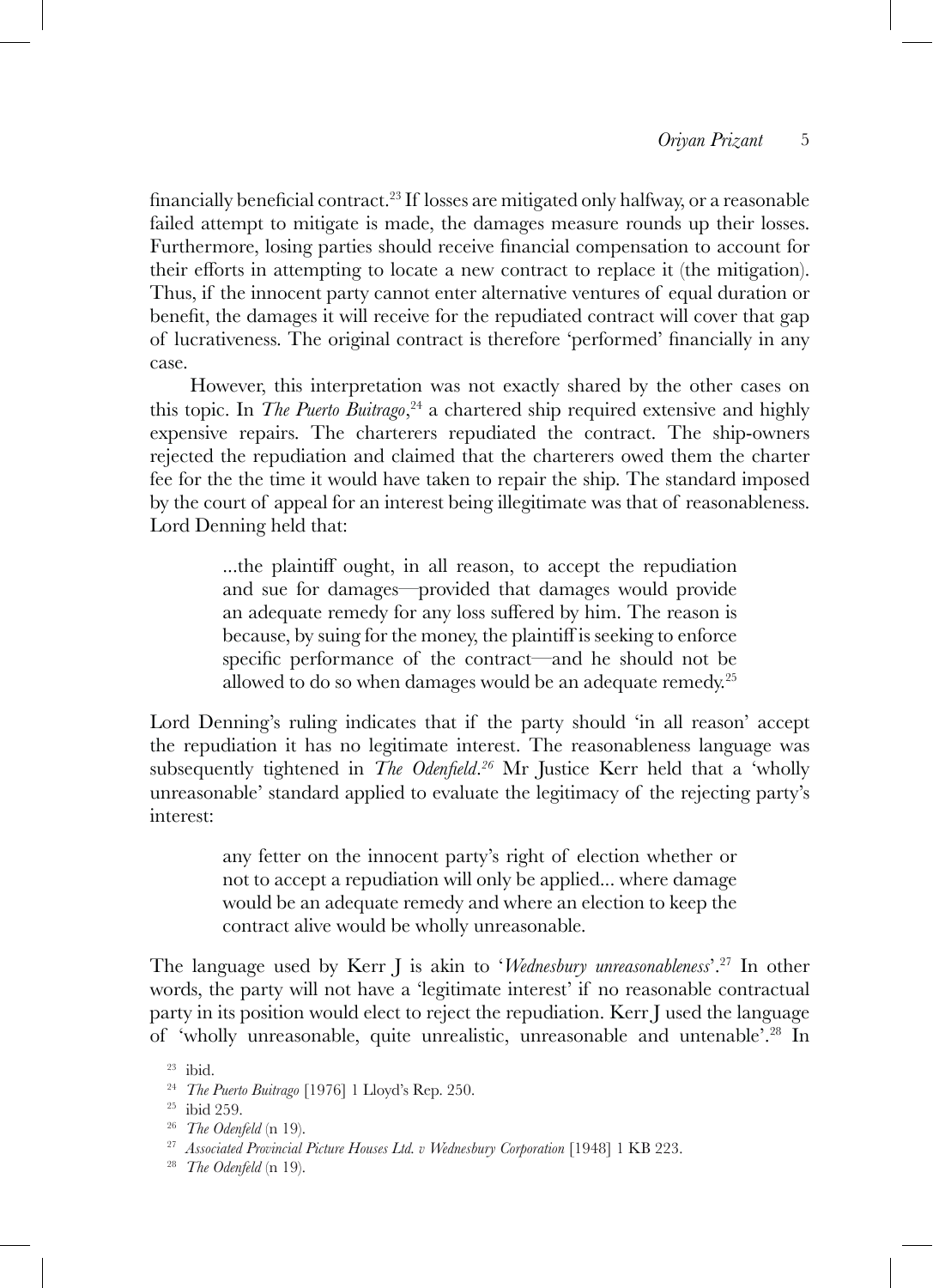financially beneficial contract.23 If losses are mitigated only halfway, or a reasonable failed attempt to mitigate is made, the damages measure rounds up their losses. Furthermore, losing parties should receive financial compensation to account for their efforts in attempting to locate a new contract to replace it (the mitigation). Thus, if the innocent party cannot enter alternative ventures of equal duration or benefit, the damages it will receive for the repudiated contract will cover that gap of lucrativeness. The original contract is therefore 'performed' financially in any case.

However, this interpretation was not exactly shared by the other cases on this topic. In *The Puerto Buitrago*, <sup>24</sup> a chartered ship required extensive and highly expensive repairs. The charterers repudiated the contract. The ship-owners rejected the repudiation and claimed that the charterers owed them the charter fee for the the time it would have taken to repair the ship. The standard imposed by the court of appeal for an interest being illegitimate was that of reasonableness. Lord Denning held that:

> ...the plaintiff ought, in all reason, to accept the repudiation and sue for damages—provided that damages would provide an adequate remedy for any loss suffered by him. The reason is because, by suing for the money, the plaintiff is seeking to enforce specific performance of the contract—and he should not be allowed to do so when damages would be an adequate remedy.<sup>25</sup>

Lord Denning's ruling indicates that if the party should 'in all reason' accept the repudiation it has no legitimate interest. The reasonableness language was subsequently tightened in *The Odenfield*. *<sup>26</sup>* Mr Justice Kerr held that a 'wholly unreasonable' standard applied to evaluate the legitimacy of the rejecting party's interest:

> any fetter on the innocent party's right of election whether or not to accept a repudiation will only be applied... where damage would be an adequate remedy and where an election to keep the contract alive would be wholly unreasonable.

The language used by Kerr J is akin to '*Wednesbury unreasonableness*'.27 In other words, the party will not have a 'legitimate interest' if no reasonable contractual party in its position would elect to reject the repudiation. Kerr J used the language of 'wholly unreasonable, quite unrealistic, unreasonable and untenable'.28 In

<sup>23</sup> ibid.

<sup>24</sup> *The Puerto Buitrago* [1976] 1 Lloyd's Rep. 250.

<sup>25</sup> ibid 259.

<sup>26</sup> *The Odenfeld* (n 19).

<sup>27</sup> *Associated Provincial Picture Houses Ltd. v Wednesbury Corporation* [1948] 1 KB 223.

<sup>28</sup> *The Odenfeld* (n 19).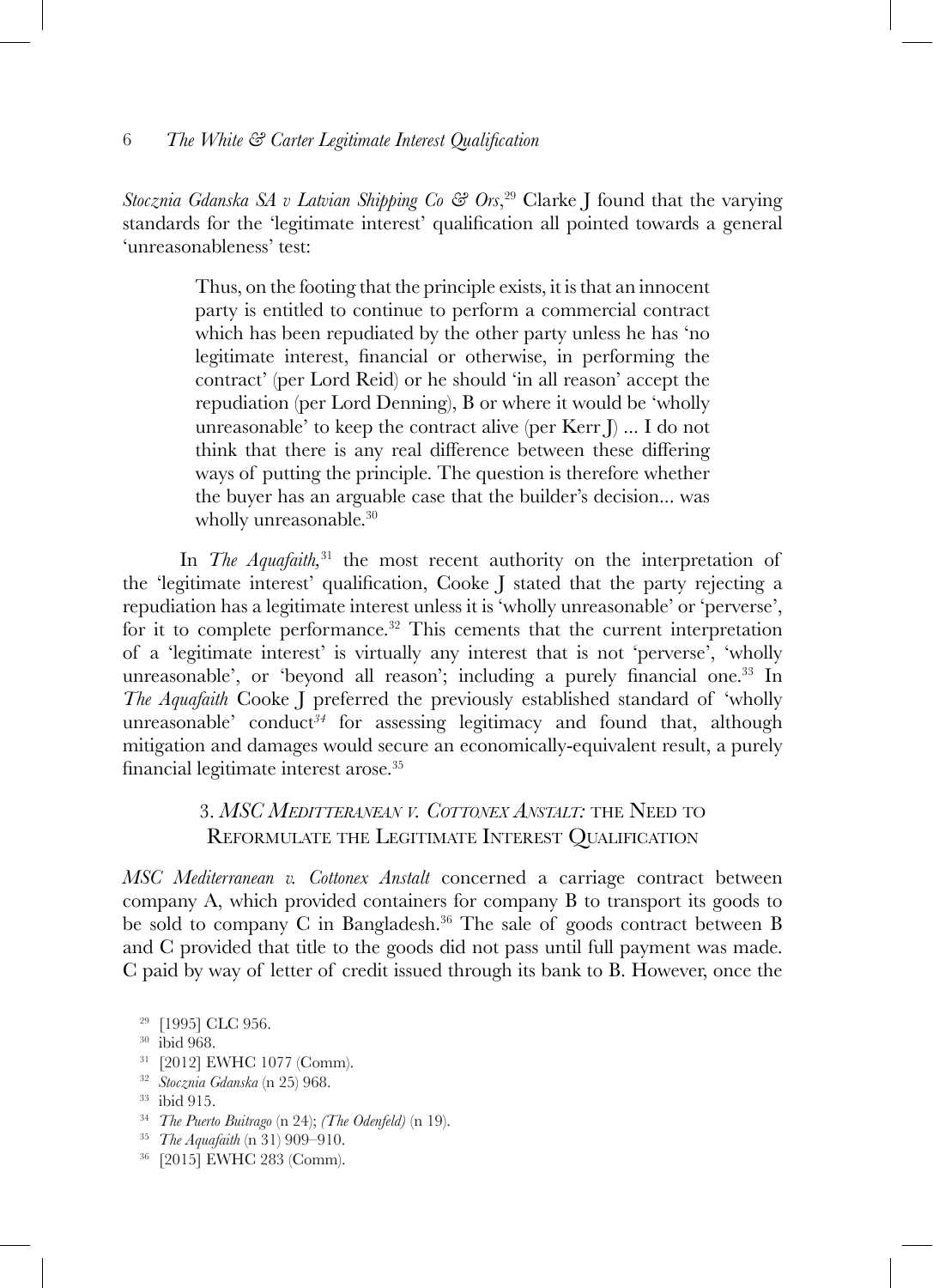*Stocznia Gdanska SA v Latvian Shipping Co & Ors*, 29 Clarke J found that the varying standards for the 'legitimate interest' qualification all pointed towards a general 'unreasonableness' test:

> Thus, on the footing that the principle exists, it is that an innocent party is entitled to continue to perform a commercial contract which has been repudiated by the other party unless he has 'no legitimate interest, financial or otherwise, in performing the contract' (per Lord Reid) or he should 'in all reason' accept the repudiation (per Lord Denning), B or where it would be 'wholly unreasonable' to keep the contract alive (per Kerr J) ... I do not think that there is any real difference between these differing ways of putting the principle. The question is therefore whether the buyer has an arguable case that the builder's decision... was wholly unreasonable.<sup>30</sup>

In *The Aquafaith*,<sup>31</sup> the most recent authority on the interpretation of the 'legitimate interest' qualification, Cooke J stated that the party rejecting a repudiation has a legitimate interest unless it is 'wholly unreasonable' or 'perverse', for it to complete performance.<sup>32</sup> This cements that the current interpretation of a 'legitimate interest' is virtually any interest that is not 'perverse', 'wholly unreasonable', or 'beyond all reason'; including a purely financial one.<sup>33</sup> In *The Aquafaith* Cooke J preferred the previously established standard of 'wholly unreasonable' conduct<sup>34</sup> for assessing legitimacy and found that, although mitigation and damages would secure an economically-equivalent result, a purely financial legitimate interest arose.<sup>35</sup>

## 3. *MSC Meditteranean v. Cottonex Anstalt:* the Need to Reformulate the Legitimate Interest Qualification

*MSC Mediterranean v. Cottonex Anstalt* concerned a carriage contract between company A, which provided containers for company B to transport its goods to be sold to company C in Bangladesh.36 The sale of goods contract between B and C provided that title to the goods did not pass until full payment was made. C paid by way of letter of credit issued through its bank to B. However, once the

- <sup>30</sup> ibid 968.
- <sup>31</sup> [2012] EWHC 1077 (Comm).
- <sup>32</sup> *Stocznia Gdanska* (n 25) 968.
- <sup>33</sup> ibid 915.
- <sup>34</sup> *The Puerto Buitrago* (n 24); *(The Odenfeld)* (n 19).
- <sup>35</sup> *The Aquafaith* (n 31) 909–910.
- <sup>36</sup> [2015] EWHC 283 (Comm).

<sup>&</sup>lt;sup>29</sup> [1995] CLC 956.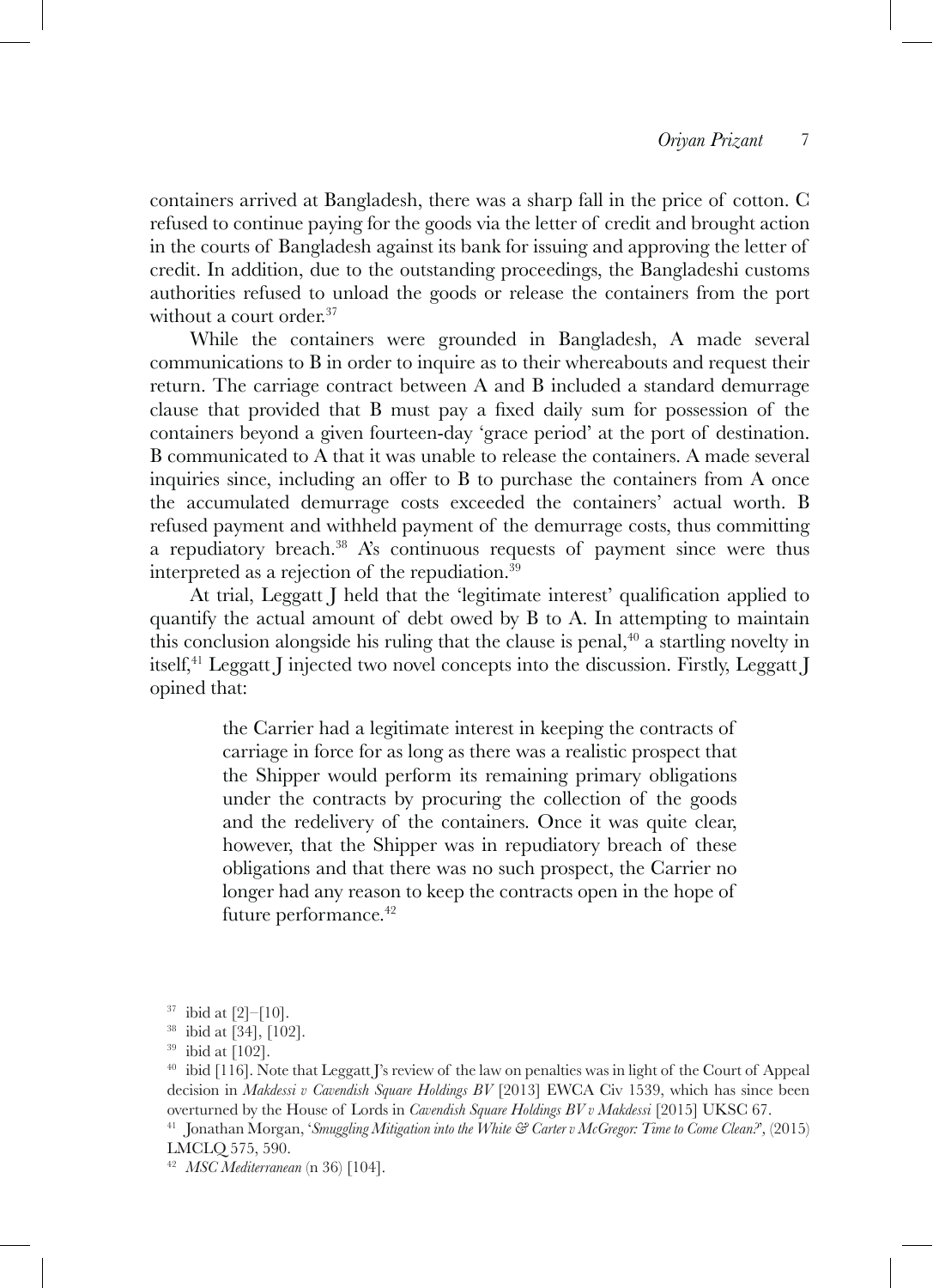containers arrived at Bangladesh, there was a sharp fall in the price of cotton. C refused to continue paying for the goods via the letter of credit and brought action in the courts of Bangladesh against its bank for issuing and approving the letter of credit. In addition, due to the outstanding proceedings, the Bangladeshi customs authorities refused to unload the goods or release the containers from the port without a court order.<sup>37</sup>

While the containers were grounded in Bangladesh, A made several communications to B in order to inquire as to their whereabouts and request their return. The carriage contract between A and B included a standard demurrage clause that provided that B must pay a fixed daily sum for possession of the containers beyond a given fourteen-day 'grace period' at the port of destination. B communicated to A that it was unable to release the containers. A made several inquiries since, including an offer to B to purchase the containers from A once the accumulated demurrage costs exceeded the containers' actual worth. B refused payment and withheld payment of the demurrage costs, thus committing a repudiatory breach.38 A's continuous requests of payment since were thus interpreted as a rejection of the repudiation.39

At trial, Leggatt I held that the 'legitimate interest' qualification applied to quantify the actual amount of debt owed by B to A. In attempting to maintain this conclusion alongside his ruling that the clause is penal,  $\pm$  0 a startling novelty in itself,41 Leggatt J injected two novel concepts into the discussion. Firstly, Leggatt J opined that:

> the Carrier had a legitimate interest in keeping the contracts of carriage in force for as long as there was a realistic prospect that the Shipper would perform its remaining primary obligations under the contracts by procuring the collection of the goods and the redelivery of the containers. Once it was quite clear, however, that the Shipper was in repudiatory breach of these obligations and that there was no such prospect, the Carrier no longer had any reason to keep the contracts open in the hope of future performance.<sup>42</sup>

<sup>42</sup> *MSC Mediterranean* (n 36) [104].

 $37$  ibid at [2]–[10].

<sup>38</sup> ibid at [34], [102].

 $39$  ibid at [102].

<sup>40</sup> ibid [116]. Note that Leggatt J's review of the law on penalties was in light of the Court of Appeal decision in *Makdessi v Cavendish Square Holdings BV* [2013] EWCA Civ 1539, which has since been overturned by the House of Lords in *Cavendish Square Holdings BV v Makdessi* [2015] UKSC 67. <sup>41</sup> Jonathan Morgan, '*Smuggling Mitigation into the White & Carter v McGregor: Time to Come Clean?*'*,* (2015) LMCLQ 575, 590.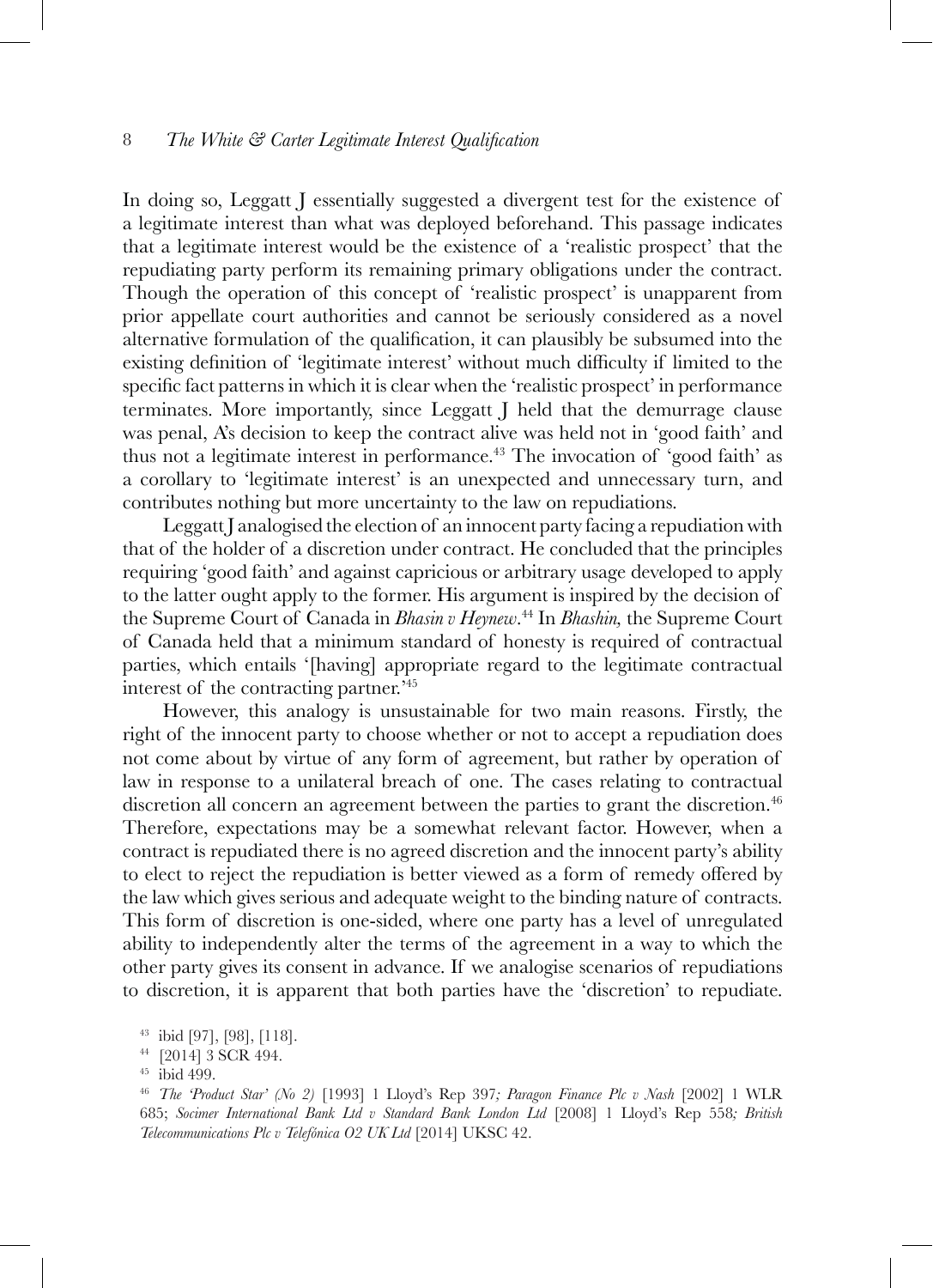In doing so, Leggatt J essentially suggested a divergent test for the existence of a legitimate interest than what was deployed beforehand. This passage indicates that a legitimate interest would be the existence of a 'realistic prospect' that the repudiating party perform its remaining primary obligations under the contract. Though the operation of this concept of 'realistic prospect' is unapparent from prior appellate court authorities and cannot be seriously considered as a novel alternative formulation of the qualification, it can plausibly be subsumed into the existing definition of 'legitimate interest' without much difficulty if limited to the specific fact patterns in which it is clear when the 'realistic prospect' in performance terminates. More importantly, since Leggatt J held that the demurrage clause was penal, A's decision to keep the contract alive was held not in 'good faith' and thus not a legitimate interest in performance.43 The invocation of 'good faith' as a corollary to 'legitimate interest' is an unexpected and unnecessary turn, and contributes nothing but more uncertainty to the law on repudiations.

Leggatt J analogised the election of an innocent party facing a repudiation with that of the holder of a discretion under contract. He concluded that the principles requiring 'good faith' and against capricious or arbitrary usage developed to apply to the latter ought apply to the former. His argument is inspired by the decision of the Supreme Court of Canada in *Bhasin v Heynew*. 44 In *Bhashin,* the Supreme Court of Canada held that a minimum standard of honesty is required of contractual parties, which entails '[having] appropriate regard to the legitimate contractual interest of the contracting partner.'45

However, this analogy is unsustainable for two main reasons. Firstly, the right of the innocent party to choose whether or not to accept a repudiation does not come about by virtue of any form of agreement, but rather by operation of law in response to a unilateral breach of one. The cases relating to contractual discretion all concern an agreement between the parties to grant the discretion.<sup>46</sup> Therefore, expectations may be a somewhat relevant factor. However, when a contract is repudiated there is no agreed discretion and the innocent party's ability to elect to reject the repudiation is better viewed as a form of remedy offered by the law which gives serious and adequate weight to the binding nature of contracts. This form of discretion is one-sided, where one party has a level of unregulated ability to independently alter the terms of the agreement in a way to which the other party gives its consent in advance. If we analogise scenarios of repudiations to discretion, it is apparent that both parties have the 'discretion' to repudiate.

<sup>43</sup> ibid [97], [98], [118].

<sup>44</sup> [2014] 3 SCR 494.

<sup>45</sup> ibid 499.

<sup>46</sup> *The 'Product Star' (No 2)* [1993] 1 Lloyd's Rep 397*; Paragon Finance Plc v Nash* [2002] 1 WLR 685; *Socimer International Bank Ltd v Standard Bank London Ltd* [2008] 1 Lloyd's Rep 558*; British Telecommunications Plc v Telefónica O2 UK Ltd* [2014] UKSC 42.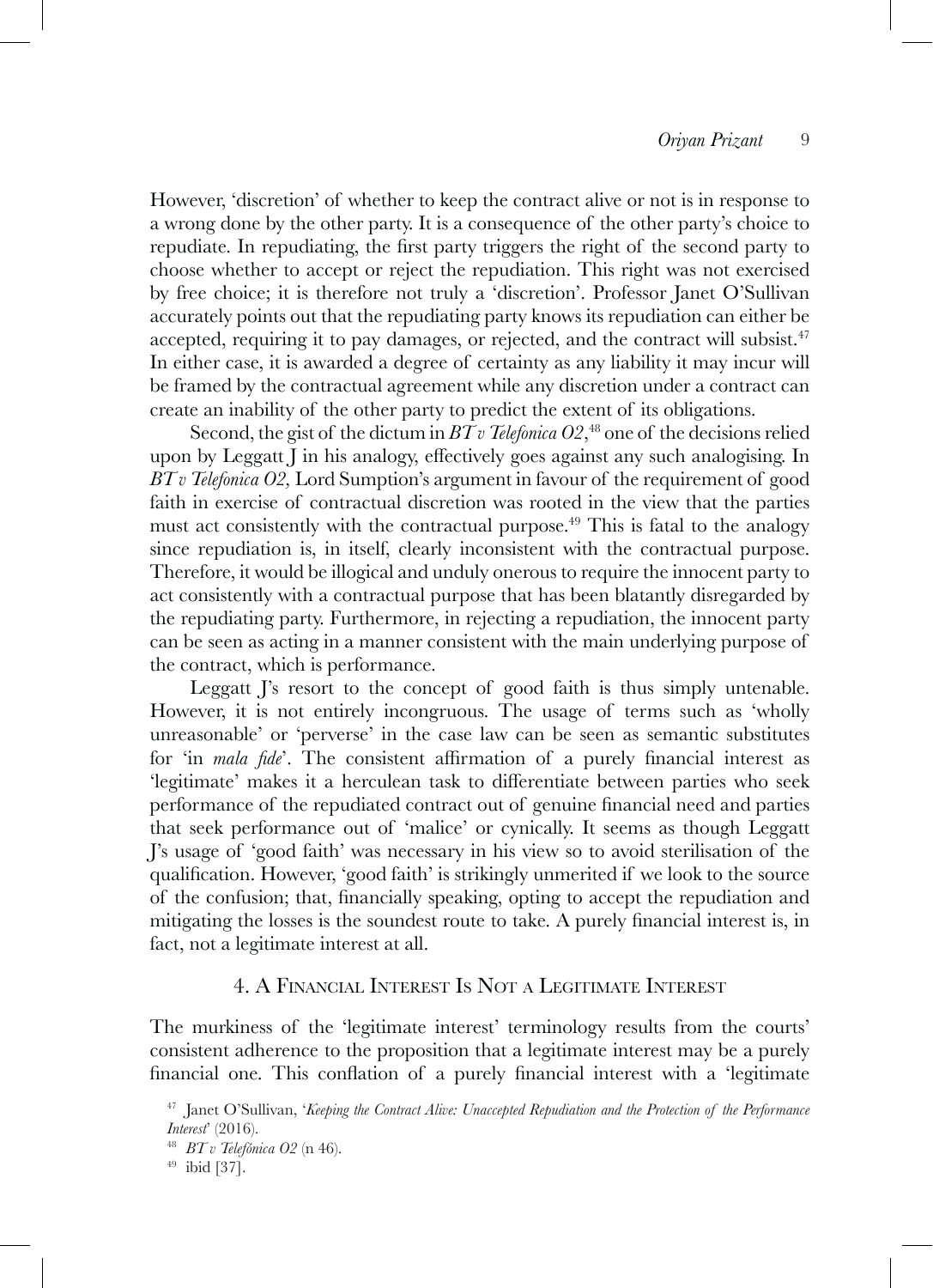However, 'discretion' of whether to keep the contract alive or not is in response to a wrong done by the other party. It is a consequence of the other party's choice to repudiate. In repudiating, the first party triggers the right of the second party to choose whether to accept or reject the repudiation. This right was not exercised by free choice; it is therefore not truly a 'discretion'. Professor Janet O'Sullivan accurately points out that the repudiating party knows its repudiation can either be accepted, requiring it to pay damages, or rejected, and the contract will subsist.<sup>47</sup> In either case, it is awarded a degree of certainty as any liability it may incur will be framed by the contractual agreement while any discretion under a contract can create an inability of the other party to predict the extent of its obligations.

Second, the gist of the dictum in  $BTv$  Telefonica  $O2, ^{48}$  one of the decisions relied upon by Leggatt J in his analogy, effectively goes against any such analogising. In *BT v Telefonica O2,* Lord Sumption's argument in favour of the requirement of good faith in exercise of contractual discretion was rooted in the view that the parties must act consistently with the contractual purpose.<sup>49</sup> This is fatal to the analogy since repudiation is, in itself, clearly inconsistent with the contractual purpose. Therefore, it would be illogical and unduly onerous to require the innocent party to act consistently with a contractual purpose that has been blatantly disregarded by the repudiating party. Furthermore, in rejecting a repudiation, the innocent party can be seen as acting in a manner consistent with the main underlying purpose of the contract, which is performance.

Leggatt I's resort to the concept of good faith is thus simply untenable. However, it is not entirely incongruous. The usage of terms such as 'wholly unreasonable' or 'perverse' in the case law can be seen as semantic substitutes for 'in *mala fide*'. The consistent affirmation of a purely financial interest as 'legitimate' makes it a herculean task to differentiate between parties who seek performance of the repudiated contract out of genuine financial need and parties that seek performance out of 'malice' or cynically. It seems as though Leggatt J's usage of 'good faith' was necessary in his view so to avoid sterilisation of the qualification. However, 'good faith' is strikingly unmerited if we look to the source of the confusion; that, financially speaking, opting to accept the repudiation and mitigating the losses is the soundest route to take. A purely financial interest is, in fact, not a legitimate interest at all.

### 4. A Financial Interest Is Not <sup>a</sup> Legitimate Interest

The murkiness of the 'legitimate interest' terminology results from the courts' consistent adherence to the proposition that a legitimate interest may be a purely financial one. This conflation of a purely financial interest with a 'legitimate

<sup>47</sup> Janet O'Sullivan, '*Keeping the Contract Alive: Unaccepted Repudiation and the Protection of the Performance Interest*' (2016).

<sup>48</sup> *BT v Telefónica O2* (n 46). 49 ibid [37].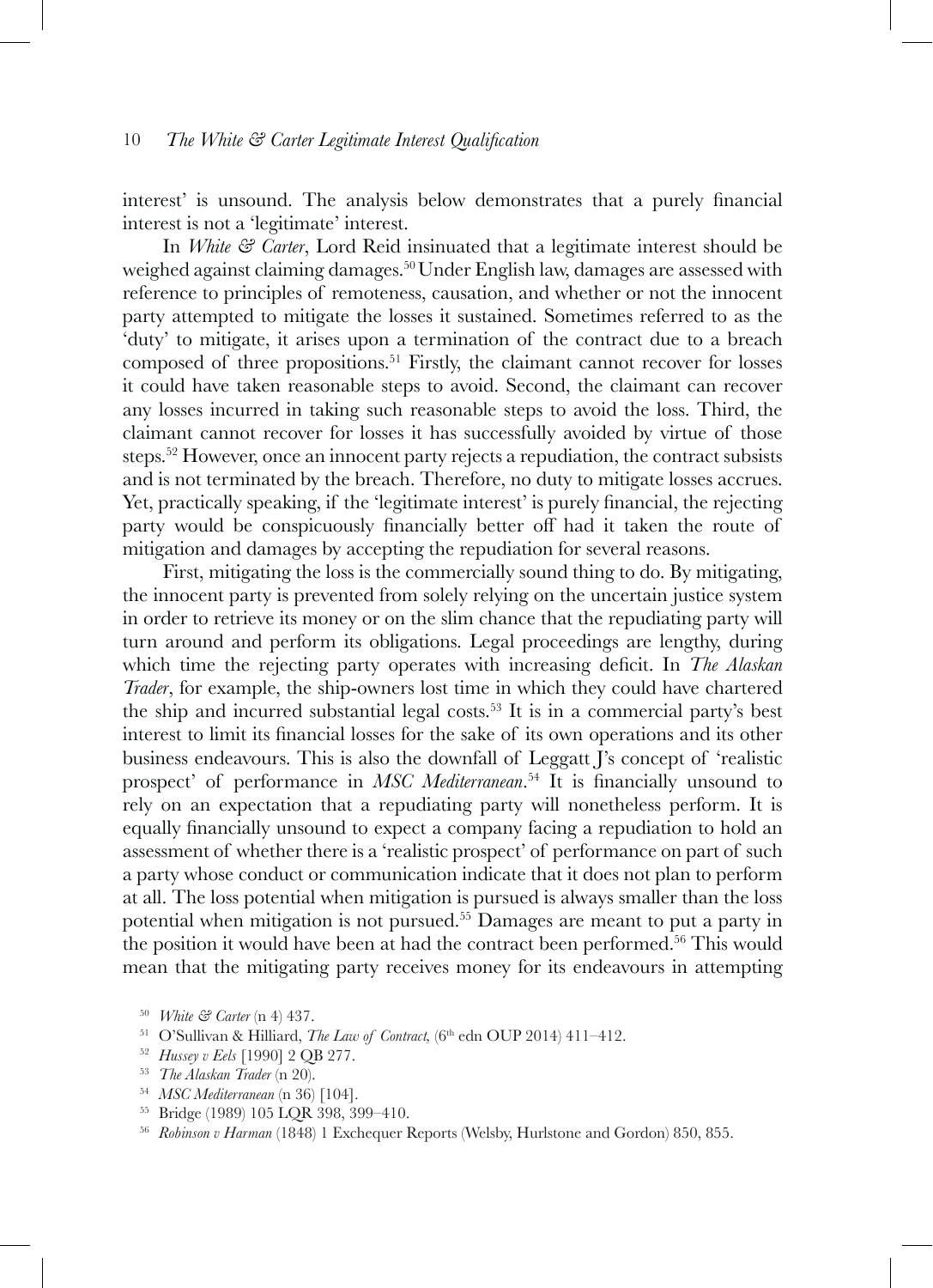interest' is unsound. The analysis below demonstrates that a purely financial interest is not a 'legitimate' interest.

In *White & Carter*, Lord Reid insinuated that a legitimate interest should be weighed against claiming damages.50Under English law, damages are assessed with reference to principles of remoteness, causation, and whether or not the innocent party attempted to mitigate the losses it sustained. Sometimes referred to as the 'duty' to mitigate, it arises upon a termination of the contract due to a breach composed of three propositions.51 Firstly, the claimant cannot recover for losses it could have taken reasonable steps to avoid. Second, the claimant can recover any losses incurred in taking such reasonable steps to avoid the loss. Third, the claimant cannot recover for losses it has successfully avoided by virtue of those steps.52 However, once an innocent party rejects a repudiation, the contract subsists and is not terminated by the breach. Therefore, no duty to mitigate losses accrues. Yet, practically speaking, if the 'legitimate interest' is purely financial, the rejecting party would be conspicuously financially better off had it taken the route of mitigation and damages by accepting the repudiation for several reasons.

First, mitigating the loss is the commercially sound thing to do. By mitigating, the innocent party is prevented from solely relying on the uncertain justice system in order to retrieve its money or on the slim chance that the repudiating party will turn around and perform its obligations. Legal proceedings are lengthy, during which time the rejecting party operates with increasing deficit. In *The Alaskan Trader*, for example, the ship-owners lost time in which they could have chartered the ship and incurred substantial legal costs.<sup>53</sup> It is in a commercial party's best interest to limit its financial losses for the sake of its own operations and its other business endeavours. This is also the downfall of Leggatt J's concept of 'realistic prospect' of performance in *MSC Mediterranean*. <sup>54</sup> It is financially unsound to rely on an expectation that a repudiating party will nonetheless perform. It is equally financially unsound to expect a company facing a repudiation to hold an assessment of whether there is a 'realistic prospect' of performance on part of such a party whose conduct or communication indicate that it does not plan to perform at all. The loss potential when mitigation is pursued is always smaller than the loss potential when mitigation is not pursued.55 Damages are meant to put a party in the position it would have been at had the contract been performed.56 This would mean that the mitigating party receives money for its endeavours in attempting

- <sup>52</sup> *Hussey v Eels* [1990] 2 QB 277.
- <sup>53</sup> *The Alaskan Trader* (n 20).
- <sup>54</sup> *MSC Mediterranean* (n 36) [104].
- <sup>55</sup> Bridge (1989) 105 LQR 398, 399–410.
- <sup>56</sup> *Robinson v Harman* (1848) 1 Exchequer Reports (Welsby, Hurlstone and Gordon) 850, 855.

<sup>50</sup> *White & Carter* (n 4) 437.

<sup>&</sup>lt;sup>51</sup> O'Sullivan & Hilliard, *The Law of Contract*, (6<sup>th</sup> edn OUP 2014) 411-412.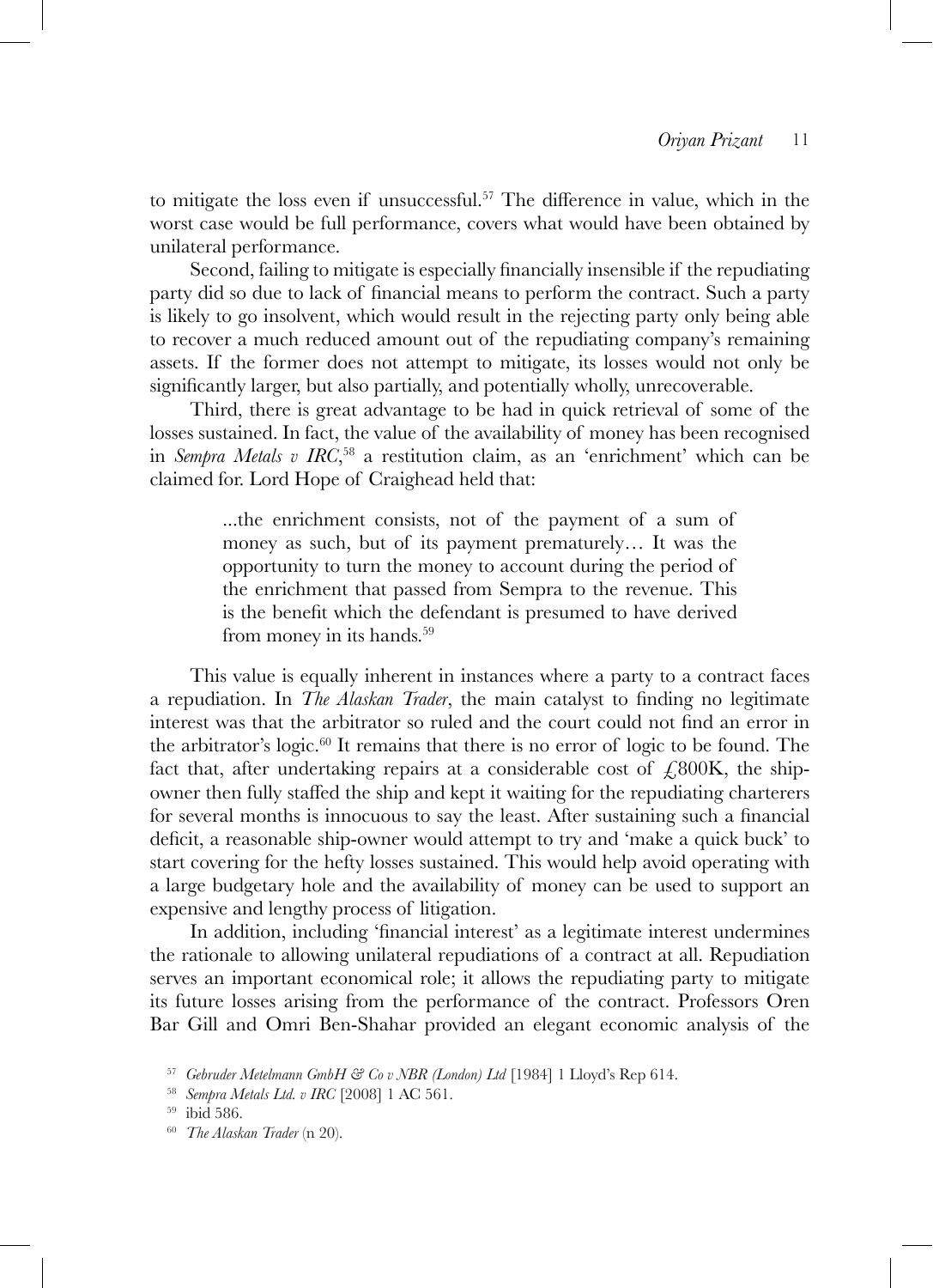to mitigate the loss even if unsuccessful.57 The difference in value, which in the worst case would be full performance, covers what would have been obtained by unilateral performance.

Second, failing to mitigate is especially financially insensible if the repudiating party did so due to lack of financial means to perform the contract. Such a party is likely to go insolvent, which would result in the rejecting party only being able to recover a much reduced amount out of the repudiating company's remaining assets. If the former does not attempt to mitigate, its losses would not only be significantly larger, but also partially, and potentially wholly, unrecoverable.

Third, there is great advantage to be had in quick retrieval of some of the losses sustained. In fact, the value of the availability of money has been recognised in *Sempra Metals v IRC*, 58 a restitution claim, as an 'enrichment' which can be claimed for. Lord Hope of Craighead held that:

> ...the enrichment consists, not of the payment of a sum of money as such, but of its payment prematurely… It was the opportunity to turn the money to account during the period of the enrichment that passed from Sempra to the revenue. This is the benefit which the defendant is presumed to have derived from money in its hands.<sup>59</sup>

This value is equally inherent in instances where a party to a contract faces a repudiation. In *The Alaskan Trader*, the main catalyst to finding no legitimate interest was that the arbitrator so ruled and the court could not find an error in the arbitrator's logic.<sup>60</sup> It remains that there is no error of logic to be found. The fact that, after undertaking repairs at a considerable cost of  $\angle 800K$ , the shipowner then fully staffed the ship and kept it waiting for the repudiating charterers for several months is innocuous to say the least. After sustaining such a financial deficit, a reasonable ship-owner would attempt to try and 'make a quick buck' to start covering for the hefty losses sustained. This would help avoid operating with a large budgetary hole and the availability of money can be used to support an expensive and lengthy process of litigation.

In addition, including 'financial interest' as a legitimate interest undermines the rationale to allowing unilateral repudiations of a contract at all. Repudiation serves an important economical role; it allows the repudiating party to mitigate its future losses arising from the performance of the contract. Professors Oren Bar Gill and Omri Ben-Shahar provided an elegant economic analysis of the

<sup>57</sup> *Gebruder Metelmann GmbH & Co v NBR (London) Ltd* [1984] 1 Lloyd's Rep 614.

<sup>58</sup> *Sempra Metals Ltd. v IRC* [2008] 1 AC 561.

<sup>59</sup> ibid 586.

<sup>60</sup> *The Alaskan Trader* (n 20).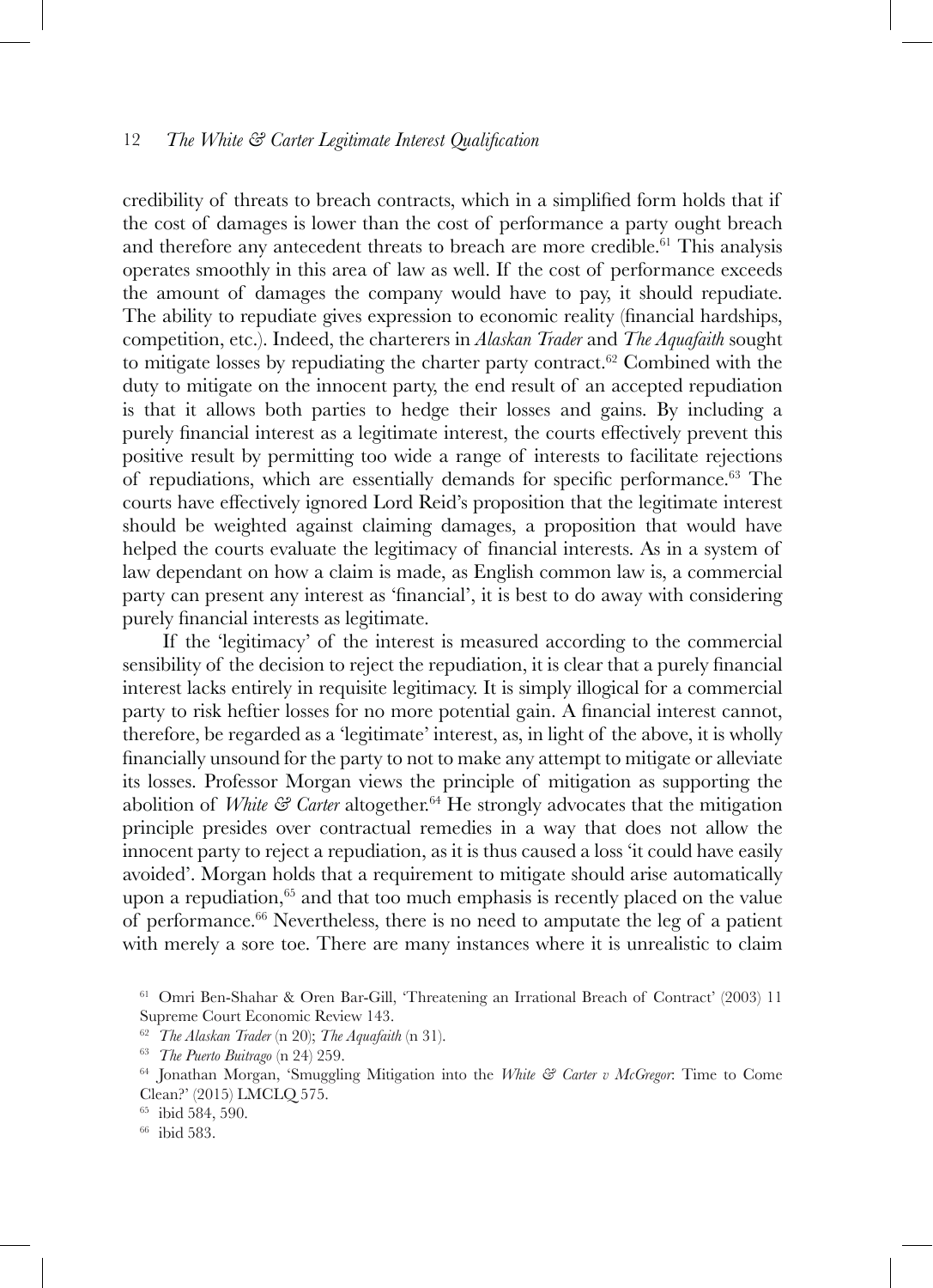credibility of threats to breach contracts, which in a simplified form holds that if the cost of damages is lower than the cost of performance a party ought breach and therefore any antecedent threats to breach are more credible.<sup>61</sup> This analysis operates smoothly in this area of law as well. If the cost of performance exceeds the amount of damages the company would have to pay, it should repudiate. The ability to repudiate gives expression to economic reality (financial hardships, competition, etc.). Indeed, the charterers in *Alaskan Trader* and *The Aquafaith* sought to mitigate losses by repudiating the charter party contract. $62$  Combined with the duty to mitigate on the innocent party, the end result of an accepted repudiation is that it allows both parties to hedge their losses and gains. By including a purely financial interest as a legitimate interest, the courts effectively prevent this positive result by permitting too wide a range of interests to facilitate rejections of repudiations, which are essentially demands for specific performance.63 The courts have effectively ignored Lord Reid's proposition that the legitimate interest should be weighted against claiming damages, a proposition that would have helped the courts evaluate the legitimacy of financial interests. As in a system of law dependant on how a claim is made, as English common law is, a commercial party can present any interest as 'financial', it is best to do away with considering purely financial interests as legitimate.

If the 'legitimacy' of the interest is measured according to the commercial sensibility of the decision to reject the repudiation, it is clear that a purely financial interest lacks entirely in requisite legitimacy. It is simply illogical for a commercial party to risk heftier losses for no more potential gain. A financial interest cannot, therefore, be regarded as a 'legitimate' interest, as, in light of the above, it is wholly financially unsound for the party to not to make any attempt to mitigate or alleviate its losses. Professor Morgan views the principle of mitigation as supporting the abolition of *White & Carter* altogether.64 He strongly advocates that the mitigation principle presides over contractual remedies in a way that does not allow the innocent party to reject a repudiation, as it is thus caused a loss 'it could have easily avoided'. Morgan holds that a requirement to mitigate should arise automatically upon a repudiation, $65$  and that too much emphasis is recently placed on the value of performance.<sup>66</sup> Nevertheless, there is no need to amputate the leg of a patient with merely a sore toe. There are many instances where it is unrealistic to claim

<sup>61</sup> Omri Ben-Shahar & Oren Bar-Gill, 'Threatening an Irrational Breach of Contract' (2003) 11 Supreme Court Economic Review 143.

<sup>62</sup> *The Alaskan Trader* (n 20); *The Aquafaith* (n 31).

<sup>63</sup> *The Puerto Buitrago* (n 24) 259.

<sup>64</sup> Jonathan Morgan, 'Smuggling Mitigation into the *White & Carter v McGregor*: Time to Come Clean?' (2015) LMCLQ 575.

 $\frac{65}{66}$  ibid 584, 590.<br> $\frac{66}{66}$  ibid 583.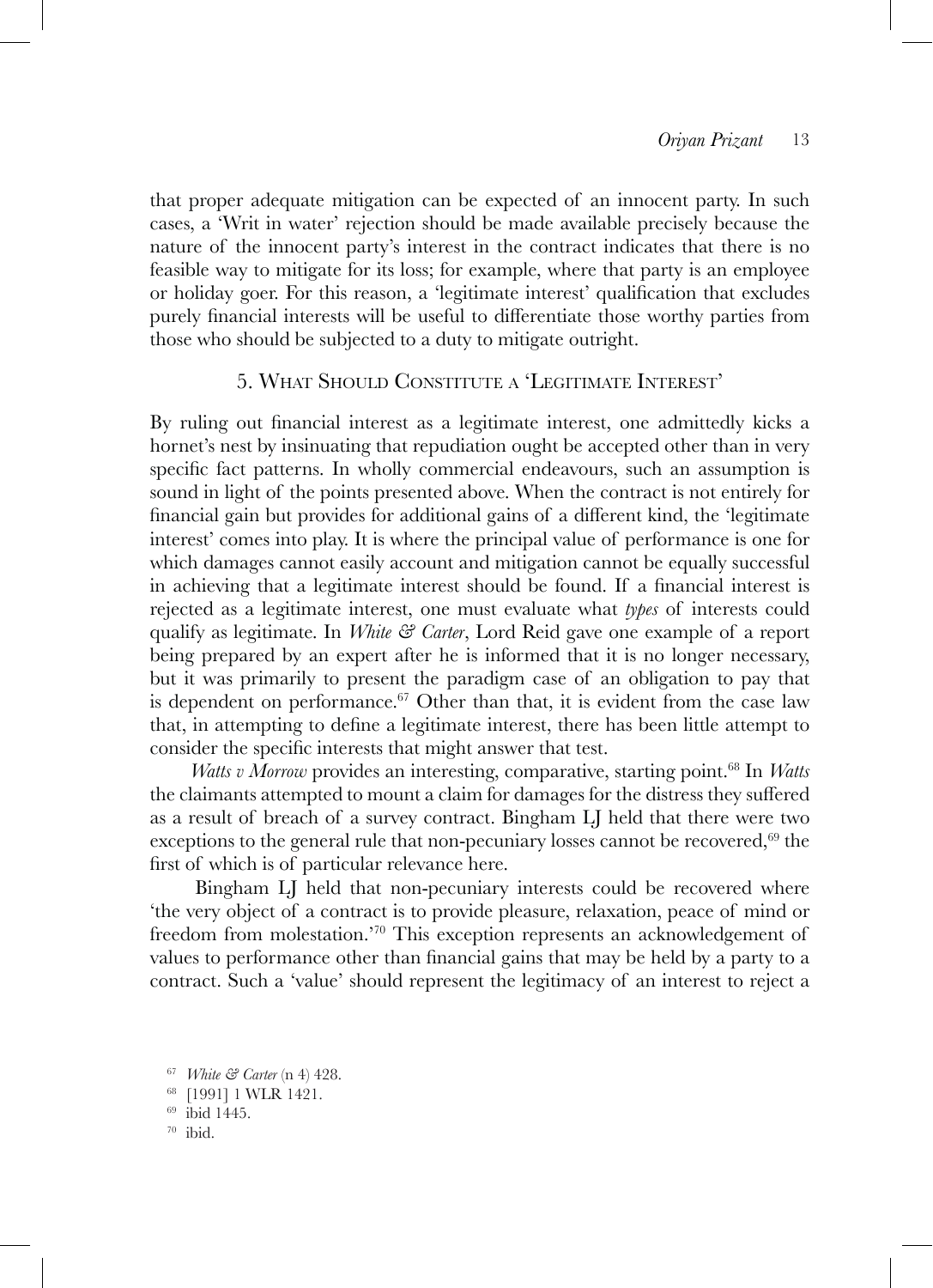that proper adequate mitigation can be expected of an innocent party. In such cases, a 'Writ in water' rejection should be made available precisely because the nature of the innocent party's interest in the contract indicates that there is no feasible way to mitigate for its loss; for example, where that party is an employee or holiday goer. For this reason, a 'legitimate interest' qualification that excludes purely financial interests will be useful to differentiate those worthy parties from those who should be subjected to a duty to mitigate outright.

### 5. What Should Constitute a 'Legitimate Interest'

By ruling out financial interest as a legitimate interest, one admittedly kicks a hornet's nest by insinuating that repudiation ought be accepted other than in very specific fact patterns. In wholly commercial endeavours, such an assumption is sound in light of the points presented above. When the contract is not entirely for financial gain but provides for additional gains of a different kind, the 'legitimate interest' comes into play. It is where the principal value of performance is one for which damages cannot easily account and mitigation cannot be equally successful in achieving that a legitimate interest should be found. If a financial interest is rejected as a legitimate interest, one must evaluate what *types* of interests could qualify as legitimate. In *White & Carter*, Lord Reid gave one example of a report being prepared by an expert after he is informed that it is no longer necessary, but it was primarily to present the paradigm case of an obligation to pay that is dependent on performance. $67$  Other than that, it is evident from the case law that, in attempting to define a legitimate interest, there has been little attempt to consider the specific interests that might answer that test.

*Watts v Morrow* provides an interesting, comparative, starting point.<sup>68</sup> In *Watts* the claimants attempted to mount a claim for damages for the distress they suffered as a result of breach of a survey contract. Bingham LJ held that there were two exceptions to the general rule that non-pecuniary losses cannot be recovered, $69$  the first of which is of particular relevance here.

Bingham LJ held that non-pecuniary interests could be recovered where 'the very object of a contract is to provide pleasure, relaxation, peace of mind or freedom from molestation.'70 This exception represents an acknowledgement of values to performance other than financial gains that may be held by a party to a contract. Such a 'value' should represent the legitimacy of an interest to reject a

<sup>67</sup> *White & Carter* (n 4) 428.

<sup>68</sup> [1991] 1 WLR 1421.

<sup>69</sup> ibid 1445.

<sup>70</sup> ibid.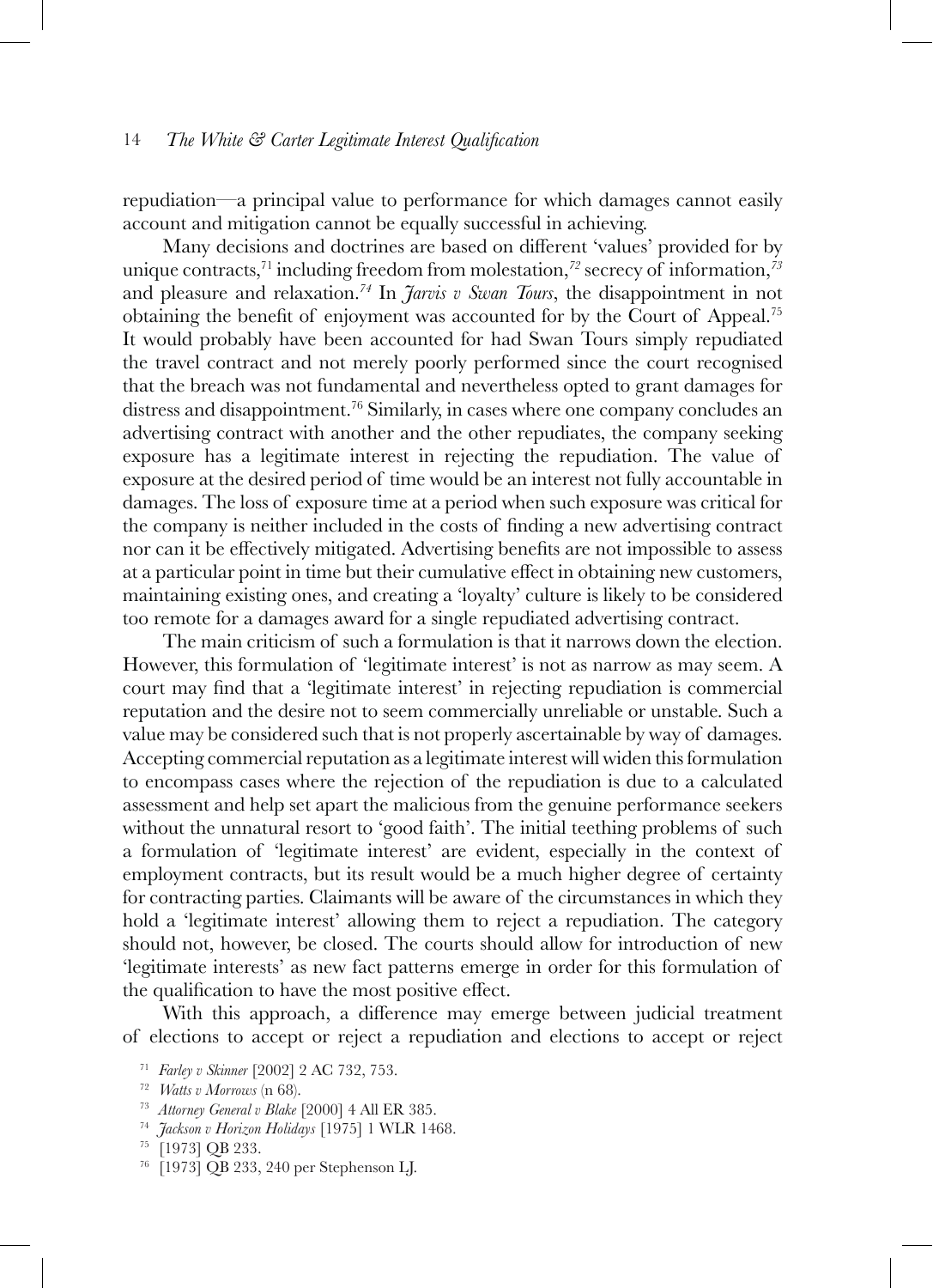repudiation—a principal value to performance for which damages cannot easily account and mitigation cannot be equally successful in achieving.

Many decisions and doctrines are based on different 'values' provided for by unique contracts,71 including freedom from molestation,*<sup>72</sup>* secrecy of information,*<sup>73</sup>* and pleasure and relaxation.*<sup>74</sup>* In *Jarvis v Swan Tours*, the disappointment in not obtaining the benefit of enjoyment was accounted for by the Court of Appeal.<sup>75</sup> It would probably have been accounted for had Swan Tours simply repudiated the travel contract and not merely poorly performed since the court recognised that the breach was not fundamental and nevertheless opted to grant damages for distress and disappointment.76 Similarly, in cases where one company concludes an advertising contract with another and the other repudiates, the company seeking exposure has a legitimate interest in rejecting the repudiation. The value of exposure at the desired period of time would be an interest not fully accountable in damages. The loss of exposure time at a period when such exposure was critical for the company is neither included in the costs of finding a new advertising contract nor can it be effectively mitigated. Advertising benefits are not impossible to assess at a particular point in time but their cumulative effect in obtaining new customers, maintaining existing ones, and creating a 'loyalty' culture is likely to be considered too remote for a damages award for a single repudiated advertising contract.

The main criticism of such a formulation is that it narrows down the election. However, this formulation of 'legitimate interest' is not as narrow as may seem. A court may find that a 'legitimate interest' in rejecting repudiation is commercial reputation and the desire not to seem commercially unreliable or unstable. Such a value may be considered such that is not properly ascertainable by way of damages. Accepting commercial reputation as a legitimate interest will widen this formulation to encompass cases where the rejection of the repudiation is due to a calculated assessment and help set apart the malicious from the genuine performance seekers without the unnatural resort to 'good faith'. The initial teething problems of such a formulation of 'legitimate interest' are evident, especially in the context of employment contracts, but its result would be a much higher degree of certainty for contracting parties. Claimants will be aware of the circumstances in which they hold a 'legitimate interest' allowing them to reject a repudiation. The category should not, however, be closed. The courts should allow for introduction of new 'legitimate interests' as new fact patterns emerge in order for this formulation of the qualification to have the most positive effect.

With this approach, a difference may emerge between judicial treatment of elections to accept or reject a repudiation and elections to accept or reject

<sup>76</sup> [1973] QB 233, 240 per Stephenson LJ.

<sup>71</sup> *Farley v Skinner* [2002] 2 AC 732, 753.

<sup>72</sup> *Watts v Morrows* (n 68).

<sup>73</sup> *Attorney General v Blake* [2000] 4 All ER 385.

<sup>74</sup> *Jackson v Horizon Holidays* [1975] 1 WLR 1468.

<sup>75</sup> [1973] QB 233.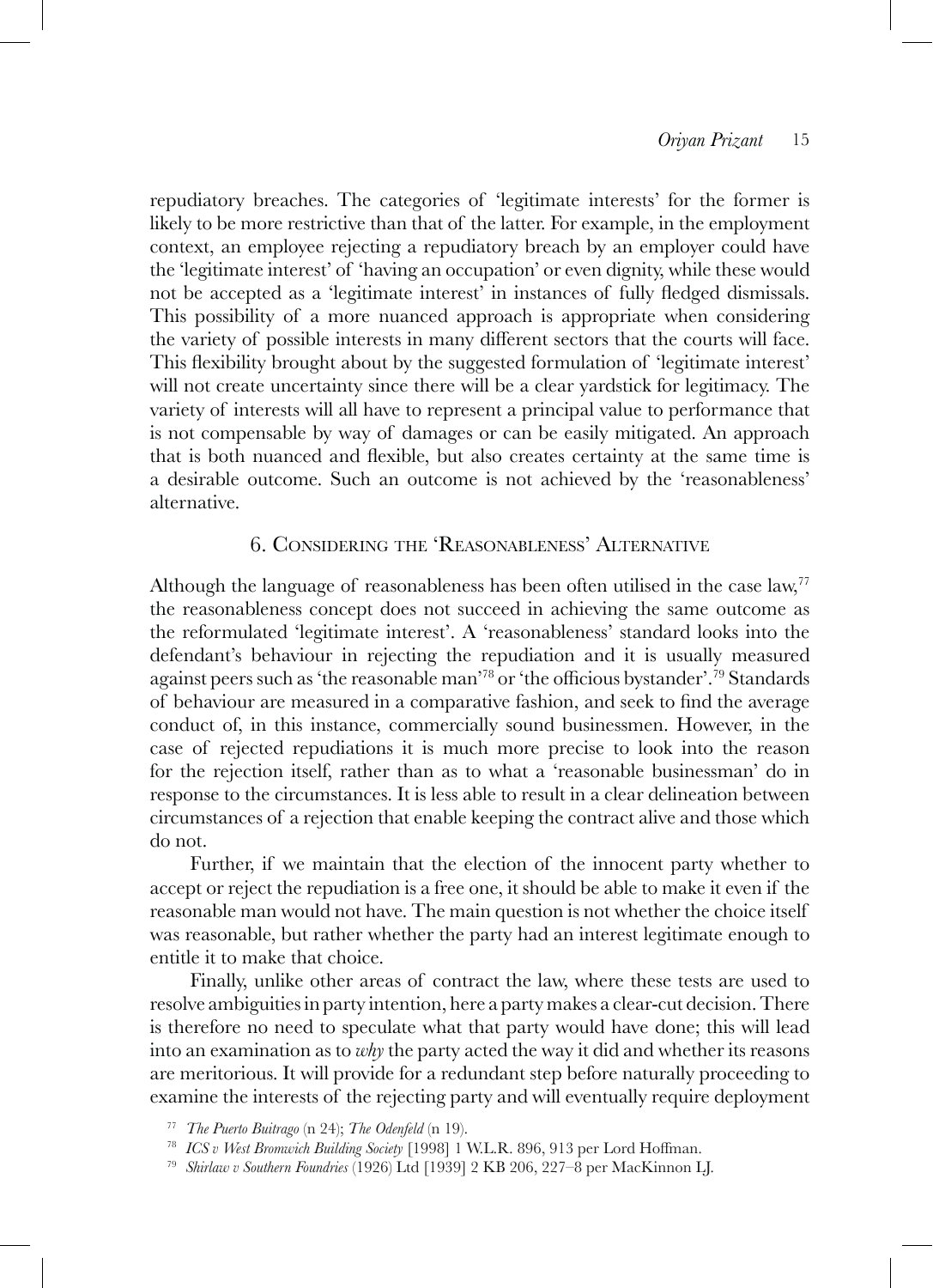repudiatory breaches. The categories of 'legitimate interests' for the former is likely to be more restrictive than that of the latter. For example, in the employment context, an employee rejecting a repudiatory breach by an employer could have the 'legitimate interest' of 'having an occupation' or even dignity, while these would not be accepted as a 'legitimate interest' in instances of fully fledged dismissals. This possibility of a more nuanced approach is appropriate when considering the variety of possible interests in many different sectors that the courts will face. This flexibility brought about by the suggested formulation of 'legitimate interest' will not create uncertainty since there will be a clear yardstick for legitimacy. The variety of interests will all have to represent a principal value to performance that is not compensable by way of damages or can be easily mitigated. An approach that is both nuanced and flexible, but also creates certainty at the same time is a desirable outcome. Such an outcome is not achieved by the 'reasonableness' alternative.

### 6. Considering the 'Reasonableness' Alternative

Although the language of reasonableness has been often utilised in the case law, $77$ the reasonableness concept does not succeed in achieving the same outcome as the reformulated 'legitimate interest'. A 'reasonableness' standard looks into the defendant's behaviour in rejecting the repudiation and it is usually measured against peers such as 'the reasonable man'78 or 'the officious bystander'.79 Standards of behaviour are measured in a comparative fashion, and seek to find the average conduct of, in this instance, commercially sound businessmen. However, in the case of rejected repudiations it is much more precise to look into the reason for the rejection itself, rather than as to what a 'reasonable businessman' do in response to the circumstances. It is less able to result in a clear delineation between circumstances of a rejection that enable keeping the contract alive and those which do not.

Further, if we maintain that the election of the innocent party whether to accept or reject the repudiation is a free one, it should be able to make it even if the reasonable man would not have. The main question is not whether the choice itself was reasonable, but rather whether the party had an interest legitimate enough to entitle it to make that choice.

Finally, unlike other areas of contract the law, where these tests are used to resolve ambiguities in party intention, here a party makes a clear-cut decision. There is therefore no need to speculate what that party would have done; this will lead into an examination as to *why* the party acted the way it did and whether its reasons are meritorious. It will provide for a redundant step before naturally proceeding to examine the interests of the rejecting party and will eventually require deployment

<sup>77</sup> *The Puerto Buitrago* (n 24); *The Odenfeld* (n 19).

<sup>78</sup> *ICS v West Bromwich Building Society* [1998] 1 W.L.R. 896, 913 per Lord Hoffman.

<sup>79</sup> *Shirlaw v Southern Foundries* (1926) Ltd [1939] 2 KB 206, 227–8 per MacKinnon LJ.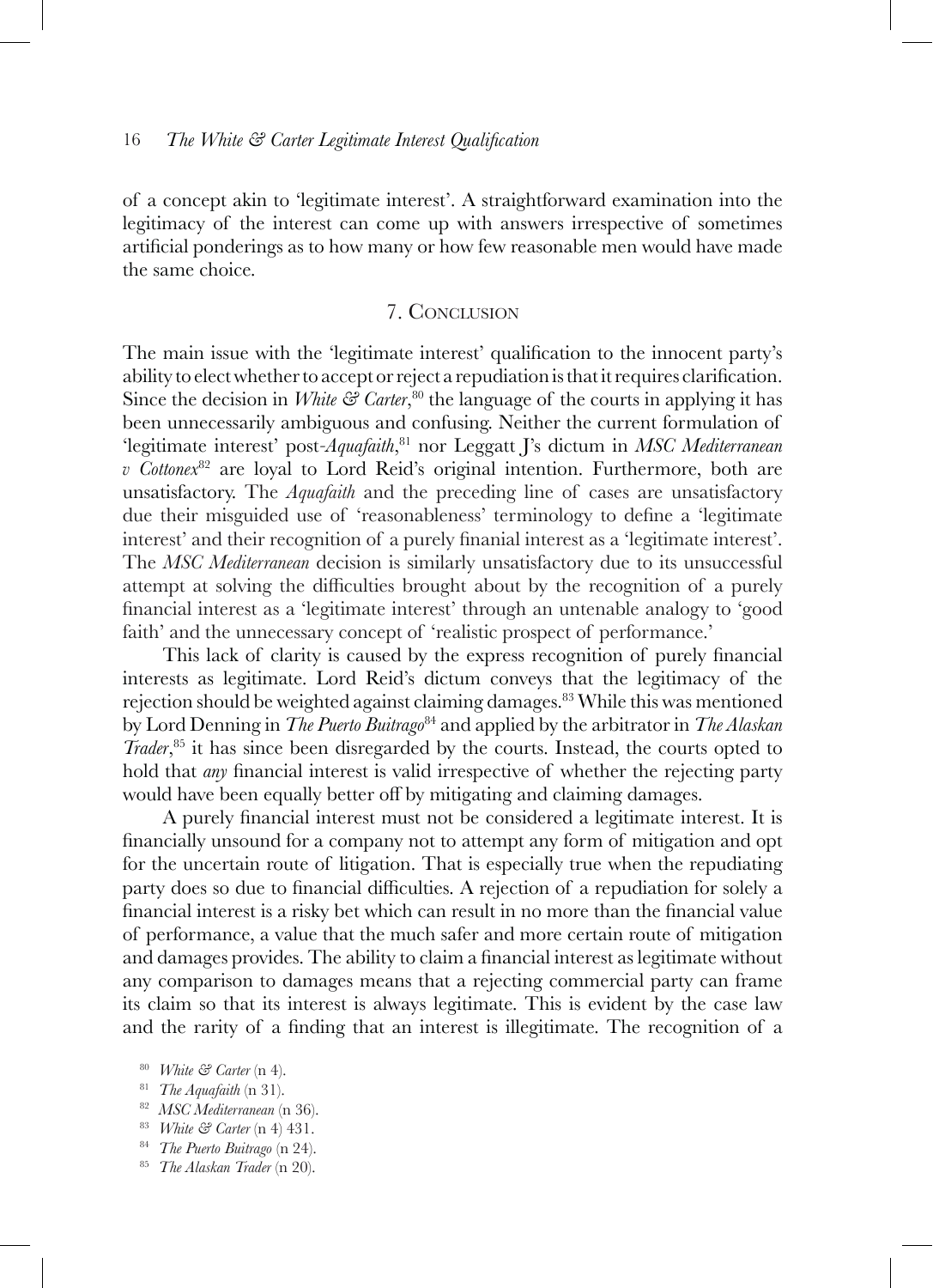of a concept akin to 'legitimate interest'. A straightforward examination into the legitimacy of the interest can come up with answers irrespective of sometimes artificial ponderings as to how many or how few reasonable men would have made the same choice.

### 7. Conclusion

The main issue with the 'legitimate interest' qualification to the innocent party's ability to elect whether to accept or reject a repudiation is that it requires clarification. Since the decision in *White* & *Carter*,<sup>80</sup> the language of the courts in applying it has been unnecessarily ambiguous and confusing. Neither the current formulation of 'legitimate interest' post*-Aquafaith*, 81 nor Leggatt J's dictum in *MSC Mediterranean v Cottonex*<sup>82</sup> are loyal to Lord Reid's original intention. Furthermore, both are unsatisfactory. The *Aquafaith* and the preceding line of cases are unsatisfactory due their misguided use of 'reasonableness' terminology to define a 'legitimate interest' and their recognition of a purely finanial interest as a 'legitimate interest'. The *MSC Mediterranean* decision is similarly unsatisfactory due to its unsuccessful attempt at solving the difficulties brought about by the recognition of a purely financial interest as a 'legitimate interest' through an untenable analogy to 'good faith' and the unnecessary concept of 'realistic prospect of performance.'

This lack of clarity is caused by the express recognition of purely financial interests as legitimate. Lord Reid's dictum conveys that the legitimacy of the rejection should be weighted against claiming damages.<sup>83</sup> While this was mentioned by Lord Denning in *The Puerto Buitrago*84 and applied by the arbitrator in *The Alaskan Trader*, 85 it has since been disregarded by the courts. Instead, the courts opted to hold that *any* financial interest is valid irrespective of whether the rejecting party would have been equally better off by mitigating and claiming damages.

A purely financial interest must not be considered a legitimate interest. It is financially unsound for a company not to attempt any form of mitigation and opt for the uncertain route of litigation. That is especially true when the repudiating party does so due to financial difficulties. A rejection of a repudiation for solely a financial interest is a risky bet which can result in no more than the financial value of performance, a value that the much safer and more certain route of mitigation and damages provides. The ability to claim a financial interest as legitimate without any comparison to damages means that a rejecting commercial party can frame its claim so that its interest is always legitimate. This is evident by the case law and the rarity of a finding that an interest is illegitimate. The recognition of a

<sup>80</sup> *White & Carter* (n 4).

- <sup>82</sup> *MSC Mediterranean* (n 36).
- <sup>83</sup> *White & Carter* (n 4) 431.
- <sup>84</sup> *The Puerto Buitrago* (n 24).
- <sup>85</sup> *The Alaskan Trader* (n 20).

<sup>81</sup> *The Aquafaith* (n 31).